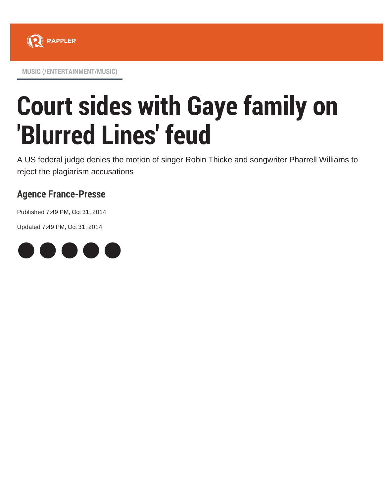

MUSIC (/ENTERTAINMENT/MUSIC)

## Court sides with Gaye family on 'Blurred Lines' feud

A US federal judge denies the motion of singer Robin Thicke and songwriter Pharrell Williams to reject the plagiarism accusations

## Agence France-Presse

Published 7:49 PM, Oct 31, 2014

Updated 7:49 PM, Oct 31, 2014

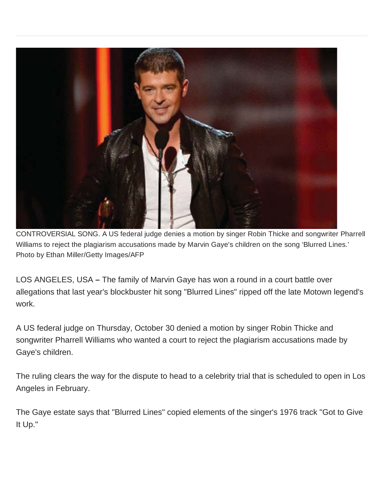

CONTROVERSIAL SONG. A US federal judge denies a motion by singer Robin Thicke and songwriter Pharrell Williams to reject the plagiarism accusations made by Marvin Gaye's children on the song 'Blurred Lines.' Photo by Ethan Miller/Getty Images/AFP

LOS ANGELES, USA **–** The family of Marvin Gaye has won a round in a court battle over allegations that last year's blockbuster hit song "Blurred Lines" ripped off the late Motown legend's work.

A US federal judge on Thursday, October 30 denied a motion by singer Robin Thicke and songwriter Pharrell Williams who wanted a court to reject the plagiarism accusations made by Gaye's children.

The ruling clears the way for the dispute to head to a celebrity trial that is scheduled to open in Los Angeles in February.

The Gaye estate says that "Blurred Lines" copied elements of the singer's 1976 track "Got to Give It Up."